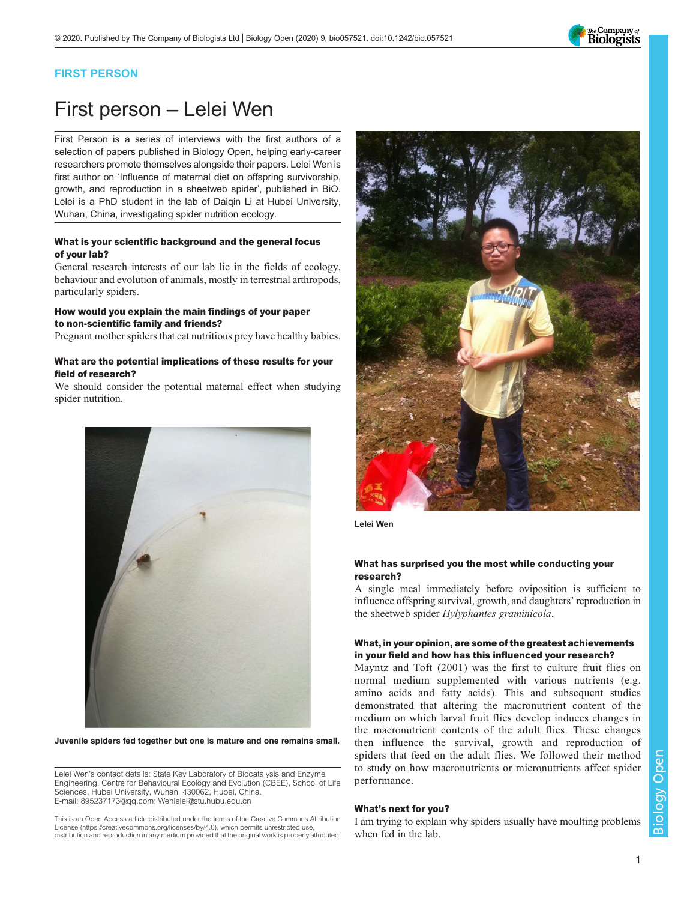

## FIRST PERSON

# First person – Lelei Wen

First Person is a series of interviews with the first authors of a selection of papers published in Biology Open, helping early-career researchers promote themselves alongside their papers. Lelei Wen is first author on '[Influence of maternal diet on offspring survivorship,](#page-1-0) [growth, and reproduction in a sheetweb spider](#page-1-0)', published in BiO. Lelei is a PhD student in the lab of Daiqin Li at Hubei University, Wuhan, China, investigating spider nutrition ecology.

### What is your scientific background and the general focus of your lab?

General research interests of our lab lie in the fields of ecology, behaviour and evolution of animals, mostly in terrestrial arthropods, particularly spiders.

### How would you explain the main findings of your paper to non-scientific family and friends?

Pregnant mother spiders that eat nutritious prey have healthy babies.

#### What are the potential implications of these results for your field of research?

We should consider the potential maternal effect when studying spider nutrition.



Juvenile spiders fed together but one is mature and one remains small.

Lelei Wen's contact details: State Key Laboratory of Biocatalysis and Enzyme Engineering, Centre for Behavioural Ecology and Evolution (CBEE), School of Life Sciences, Hubei University, Wuhan, 430062, Hubei, China. E-mail: [895237173@qq.com](mailto:895237173@qq.com); [Wenlelei@stu.hubu.edu.cn](mailto:Wenlelei@stu.hubu.edu.cn)

This is an Open Access article distributed under the terms of the Creative Commons Attribution License (https://creativecommons.org/licenses/by/4.0), which permits unrestricted use, distribution and reproduction in any medium provided that the original work is properly attributed.



Lelei Wen

#### What has surprised you the most while conducting your research?

A single meal immediately before oviposition is sufficient to influence offspring survival, growth, and daughters' reproduction in the sheetweb spider Hylyphantes graminicola.

## What, in your opinion, are some of the greatest achievements in your field and how has this influenced your research?

Mayntz and Toft (2001) was the first to culture fruit flies on normal medium supplemented with various nutrients (e.g. amino acids and fatty acids). This and subsequent studies demonstrated that altering the macronutrient content of the medium on which larval fruit flies develop induces changes in the macronutrient contents of the adult flies. These changes then influence the survival, growth and reproduction of spiders that feed on the adult flies. We followed their method to study on how macronutrients or micronutrients affect spider performance.

#### What's next for you?

I am trying to explain why spiders usually have moulting problems when fed in the lab.